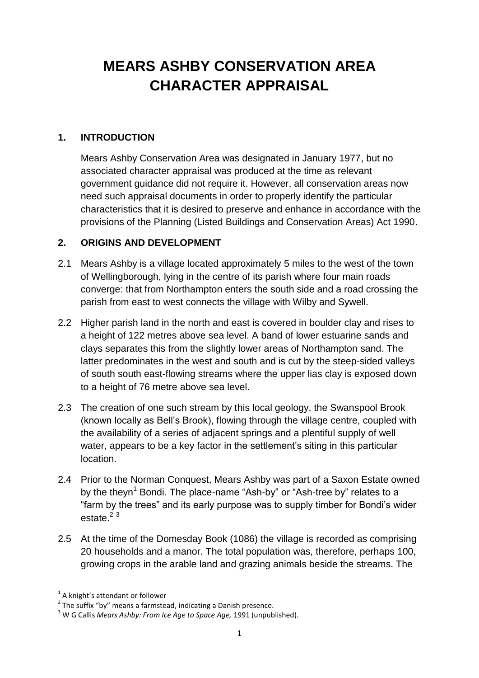# **MEARS ASHBY CONSERVATION AREA CHARACTER APPRAISAL**

#### **1. INTRODUCTION**

Mears Ashby Conservation Area was designated in January 1977, but no associated character appraisal was produced at the time as relevant government guidance did not require it. However, all conservation areas now need such appraisal documents in order to properly identify the particular characteristics that it is desired to preserve and enhance in accordance with the provisions of the Planning (Listed Buildings and Conservation Areas) Act 1990.

#### **2. ORIGINS AND DEVELOPMENT**

- 2.1 Mears Ashby is a village located approximately 5 miles to the west of the town of Wellingborough, lying in the centre of its parish where four main roads converge: that from Northampton enters the south side and a road crossing the parish from east to west connects the village with Wilby and Sywell.
- 2.2 Higher parish land in the north and east is covered in boulder clay and rises to a height of 122 metres above sea level. A band of lower estuarine sands and clays separates this from the slightly lower areas of Northampton sand. The latter predominates in the west and south and is cut by the steep-sided valleys of south south east-flowing streams where the upper lias clay is exposed down to a height of 76 metre above sea level.
- 2.3 The creation of one such stream by this local geology, the Swanspool Brook (known locally as Bell's Brook), flowing through the village centre, coupled with the availability of a series of adjacent springs and a plentiful supply of well water, appears to be a key factor in the settlement's siting in this particular location.
- 2.4 Prior to the Norman Conquest, Mears Ashby was part of a Saxon Estate owned by the theyn<sup>1</sup> Bondi. The place-name "Ash-by" or "Ash-tree by" relates to a "farm by the trees" and its early purpose was to supply timber for Bondi's wider  $e$ state  $2<sup>3</sup>$
- 2.5 At the time of the Domesday Book (1086) the village is recorded as comprising 20 households and a manor. The total population was, therefore, perhaps 100, growing crops in the arable land and grazing animals beside the streams. The

**.** 

<sup>&</sup>lt;sup>1</sup> A knight's attendant or follower

 $2$  The suffix "by" means a farmstead, indicating a Danish presence.

<sup>3</sup> W G Callis *Mears Ashby: From Ice Age to Space Age,* 1991 (unpublished).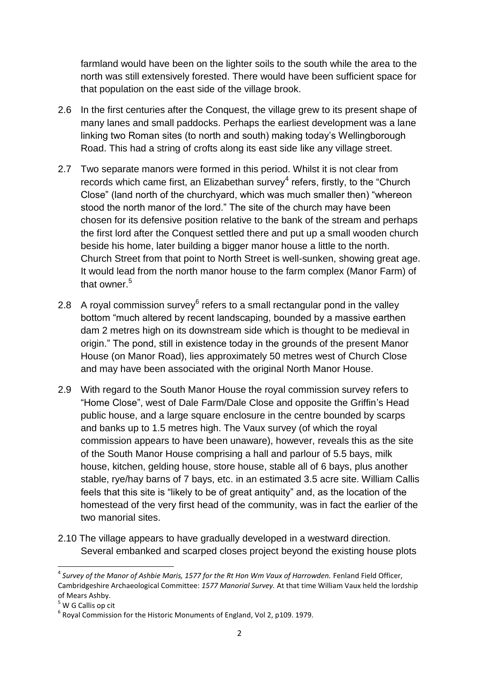farmland would have been on the lighter soils to the south while the area to the north was still extensively forested. There would have been sufficient space for that population on the east side of the village brook.

- 2.6 In the first centuries after the Conquest, the village grew to its present shape of many lanes and small paddocks. Perhaps the earliest development was a lane linking two Roman sites (to north and south) making today's Wellingborough Road. This had a string of crofts along its east side like any village street.
- 2.7 Two separate manors were formed in this period. Whilst it is not clear from records which came first, an Elizabethan survey<sup>4</sup> refers, firstly, to the "Church Close" (land north of the churchyard, which was much smaller then) "whereon stood the north manor of the lord." The site of the church may have been chosen for its defensive position relative to the bank of the stream and perhaps the first lord after the Conquest settled there and put up a small wooden church beside his home, later building a bigger manor house a little to the north. Church Street from that point to North Street is well-sunken, showing great age. It would lead from the north manor house to the farm complex (Manor Farm) of that owner.<sup>5</sup>
- 2.8 A royal commission survey $^6$  refers to a small rectangular pond in the valley bottom "much altered by recent landscaping, bounded by a massive earthen dam 2 metres high on its downstream side which is thought to be medieval in origin." The pond, still in existence today in the grounds of the present Manor House (on Manor Road), lies approximately 50 metres west of Church Close and may have been associated with the original North Manor House.
- 2.9 With regard to the South Manor House the royal commission survey refers to "Home Close", west of Dale Farm/Dale Close and opposite the Griffin's Head public house, and a large square enclosure in the centre bounded by scarps and banks up to 1.5 metres high. The Vaux survey (of which the royal commission appears to have been unaware), however, reveals this as the site of the South Manor House comprising a hall and parlour of 5.5 bays, milk house, kitchen, gelding house, store house, stable all of 6 bays, plus another stable, rye/hay barns of 7 bays, etc. in an estimated 3.5 acre site. William Callis feels that this site is "likely to be of great antiquity" and, as the location of the homestead of the very first head of the community, was in fact the earlier of the two manorial sites.
- 2.10 The village appears to have gradually developed in a westward direction. Several embanked and scarped closes project beyond the existing house plots

 $\overline{a}$ 

<sup>&</sup>lt;sup>4</sup> Survey of the Manor of Ashbie Maris, 1577 for the Rt Hon Wm Vaux of Harrowden. Fenland Field Officer, Cambridgeshire Archaeological Committee: *1577 Manorial Survey.* At that time William Vaux held the lordship of Mears Ashby.

<sup>&</sup>lt;sup>5</sup> W G Callis op cit

 $<sup>6</sup>$  Royal Commission for the Historic Monuments of England, Vol 2, p109. 1979.</sup>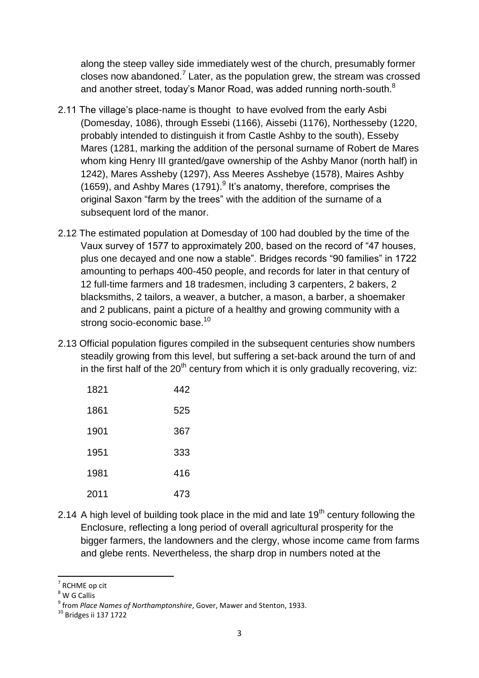along the steep valley side immediately west of the church, presumably former closes now abandoned.<sup>7</sup> Later, as the population grew, the stream was crossed and another street, today's Manor Road, was added running north-south. $^8$ 

- 2.11 The village's place-name is thought to have evolved from the early Asbi (Domesday, 1086), through Essebi (1166), Aissebi (1176), Northesseby (1220, probably intended to distinguish it from Castle Ashby to the south), Esseby Mares (1281, marking the addition of the personal surname of Robert de Mares whom king Henry III granted/gave ownership of the Ashby Manor (north half) in 1242), Mares Assheby (1297), Ass Meeres Asshebye (1578), Maires Ashby (1659), and Ashby Mares (1791). $9$  It's anatomy, therefore, comprises the original Saxon "farm by the trees" with the addition of the surname of a subsequent lord of the manor.
- 2.12 The estimated population at Domesday of 100 had doubled by the time of the Vaux survey of 1577 to approximately 200, based on the record of "47 houses, plus one decayed and one now a stable". Bridges records "90 families" in 1722 amounting to perhaps 400-450 people, and records for later in that century of 12 full-time farmers and 18 tradesmen, including 3 carpenters, 2 bakers, 2 blacksmiths, 2 tailors, a weaver, a butcher, a mason, a barber, a shoemaker and 2 publicans, paint a picture of a healthy and growing community with a strong socio-economic base.<sup>10</sup>
- 2.13 Official population figures compiled in the subsequent centuries show numbers steadily growing from this level, but suffering a set-back around the turn of and in the first half of the  $20<sup>th</sup>$  century from which it is only gradually recovering, viz:

| 1821 | 442 |
|------|-----|
| 1861 | 525 |
| 1901 | 367 |
| 1951 | 333 |
| 1981 | 416 |
| 2011 | 473 |

2.14 A high level of building took place in the mid and late  $19<sup>th</sup>$  century following the Enclosure, reflecting a long period of overall agricultural prosperity for the bigger farmers, the landowners and the clergy, whose income came from farms and glebe rents. Nevertheless, the sharp drop in numbers noted at the

**.** 

<sup>7</sup> RCHME op cit

<sup>8</sup> W G Callis

<sup>9</sup> from *Place Names of Northamptonshire*, Gover, Mawer and Stenton, 1933.

<sup>10</sup> Bridges ii 137 1722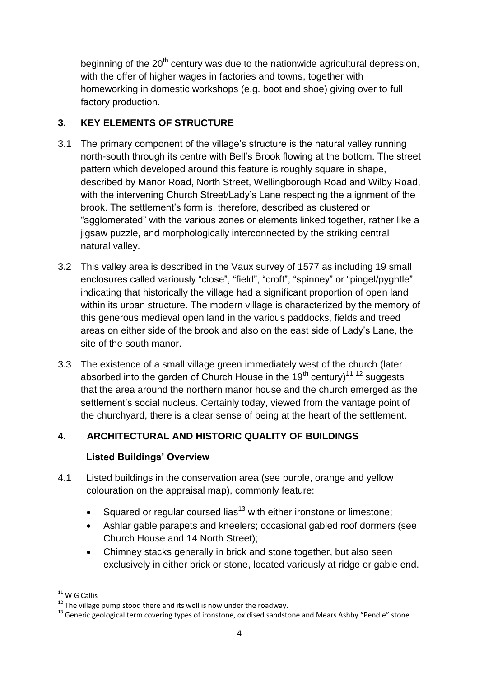beginning of the  $20<sup>th</sup>$  century was due to the nationwide agricultural depression, with the offer of higher wages in factories and towns, together with homeworking in domestic workshops (e.g. boot and shoe) giving over to full factory production.

## **3. KEY ELEMENTS OF STRUCTURE**

- 3.1 The primary component of the village's structure is the natural valley running north-south through its centre with Bell's Brook flowing at the bottom. The street pattern which developed around this feature is roughly square in shape, described by Manor Road, North Street, Wellingborough Road and Wilby Road, with the intervening Church Street/Lady's Lane respecting the alignment of the brook. The settlement's form is, therefore, described as clustered or "agglomerated" with the various zones or elements linked together, rather like a jigsaw puzzle, and morphologically interconnected by the striking central natural valley.
- 3.2 This valley area is described in the Vaux survey of 1577 as including 19 small enclosures called variously "close", "field", "croft", "spinney" or "pingel/pyghtle", indicating that historically the village had a significant proportion of open land within its urban structure. The modern village is characterized by the memory of this generous medieval open land in the various paddocks, fields and treed areas on either side of the brook and also on the east side of Lady's Lane, the site of the south manor.
- 3.3 The existence of a small village green immediately west of the church (later absorbed into the garden of Church House in the 19<sup>th</sup> century)<sup>11 12</sup> suggests that the area around the northern manor house and the church emerged as the settlement's social nucleus. Certainly today, viewed from the vantage point of the churchyard, there is a clear sense of being at the heart of the settlement.

# **4. ARCHITECTURAL AND HISTORIC QUALITY OF BUILDINGS**

## **Listed Buildings' Overview**

- 4.1 Listed buildings in the conservation area (see purple, orange and yellow colouration on the appraisal map), commonly feature:
	- Squared or regular coursed lias<sup>13</sup> with either ironstone or limestone;
	- Ashlar gable parapets and kneelers; occasional gabled roof dormers (see Church House and 14 North Street);
	- Chimney stacks generally in brick and stone together, but also seen exclusively in either brick or stone, located variously at ridge or gable end.

**<sup>.</sup>**  $11$  W G Callis

 $12$  The village pump stood there and its well is now under the roadway.

<sup>&</sup>lt;sup>13</sup> Generic geological term covering types of ironstone, oxidised sandstone and Mears Ashby "Pendle" stone.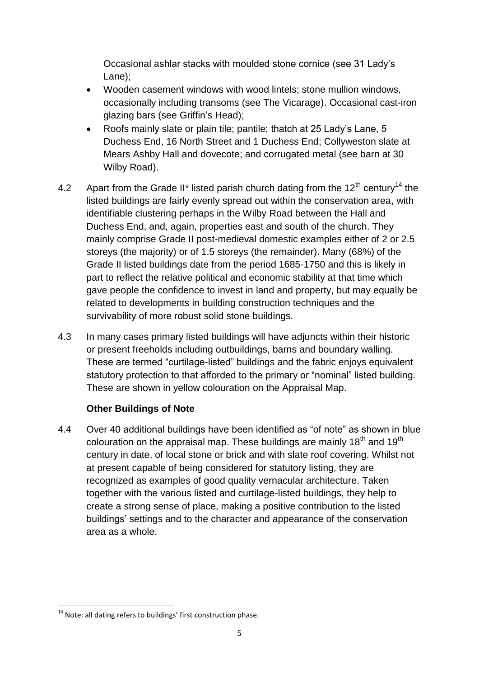Occasional ashlar stacks with moulded stone cornice (see 31 Lady's Lane);

- Wooden casement windows with wood lintels; stone mullion windows, occasionally including transoms (see The Vicarage). Occasional cast-iron glazing bars (see Griffin's Head);
- Roofs mainly slate or plain tile; pantile; thatch at 25 Lady's Lane, 5 Duchess End, 16 North Street and 1 Duchess End; Collyweston slate at Mears Ashby Hall and dovecote; and corrugated metal (see barn at 30 Wilby Road).
- 4.2 Apart from the Grade II\* listed parish church dating from the  $12<sup>th</sup>$  century<sup>14</sup> the listed buildings are fairly evenly spread out within the conservation area, with identifiable clustering perhaps in the Wilby Road between the Hall and Duchess End, and, again, properties east and south of the church. They mainly comprise Grade II post-medieval domestic examples either of 2 or 2.5 storeys (the majority) or of 1.5 storeys (the remainder). Many (68%) of the Grade II listed buildings date from the period 1685-1750 and this is likely in part to reflect the relative political and economic stability at that time which gave people the confidence to invest in land and property, but may equally be related to developments in building construction techniques and the survivability of more robust solid stone buildings.
- 4.3 In many cases primary listed buildings will have adjuncts within their historic or present freeholds including outbuildings, barns and boundary walling. These are termed "curtilage-listed" buildings and the fabric enjoys equivalent statutory protection to that afforded to the primary or "nominal" listed building. These are shown in yellow colouration on the Appraisal Map.

## **Other Buildings of Note**

4.4 Over 40 additional buildings have been identified as "of note" as shown in blue colouration on the appraisal map. These buildings are mainly  $18<sup>th</sup>$  and  $19<sup>th</sup>$ century in date, of local stone or brick and with slate roof covering. Whilst not at present capable of being considered for statutory listing, they are recognized as examples of good quality vernacular architecture. Taken together with the various listed and curtilage-listed buildings, they help to create a strong sense of place, making a positive contribution to the listed buildings' settings and to the character and appearance of the conservation area as a whole.

**<sup>.</sup>**  $14$  Note: all dating refers to buildings' first construction phase.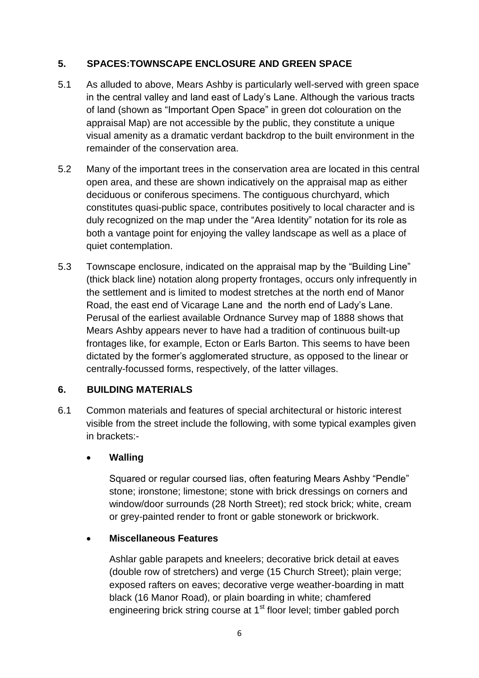#### **5. SPACES:TOWNSCAPE ENCLOSURE AND GREEN SPACE**

- 5.1 As alluded to above, Mears Ashby is particularly well-served with green space in the central valley and land east of Lady's Lane. Although the various tracts of land (shown as "Important Open Space" in green dot colouration on the appraisal Map) are not accessible by the public, they constitute a unique visual amenity as a dramatic verdant backdrop to the built environment in the remainder of the conservation area.
- 5.2 Many of the important trees in the conservation area are located in this central open area, and these are shown indicatively on the appraisal map as either deciduous or coniferous specimens. The contiguous churchyard, which constitutes quasi-public space, contributes positively to local character and is duly recognized on the map under the "Area Identity" notation for its role as both a vantage point for enjoying the valley landscape as well as a place of quiet contemplation.
- 5.3 Townscape enclosure, indicated on the appraisal map by the "Building Line" (thick black line) notation along property frontages, occurs only infrequently in the settlement and is limited to modest stretches at the north end of Manor Road, the east end of Vicarage Lane and the north end of Lady's Lane. Perusal of the earliest available Ordnance Survey map of 1888 shows that Mears Ashby appears never to have had a tradition of continuous built-up frontages like, for example, Ecton or Earls Barton. This seems to have been dictated by the former's agglomerated structure, as opposed to the linear or centrally-focussed forms, respectively, of the latter villages.

#### **6. BUILDING MATERIALS**

6.1 Common materials and features of special architectural or historic interest visible from the street include the following, with some typical examples given in brackets:-

#### **Walling**

Squared or regular coursed lias, often featuring Mears Ashby "Pendle" stone; ironstone; limestone; stone with brick dressings on corners and window/door surrounds (28 North Street); red stock brick; white, cream or grey-painted render to front or gable stonework or brickwork.

#### **Miscellaneous Features**

Ashlar gable parapets and kneelers; decorative brick detail at eaves (double row of stretchers) and verge (15 Church Street); plain verge; exposed rafters on eaves; decorative verge weather-boarding in matt black (16 Manor Road), or plain boarding in white; chamfered engineering brick string course at 1<sup>st</sup> floor level; timber gabled porch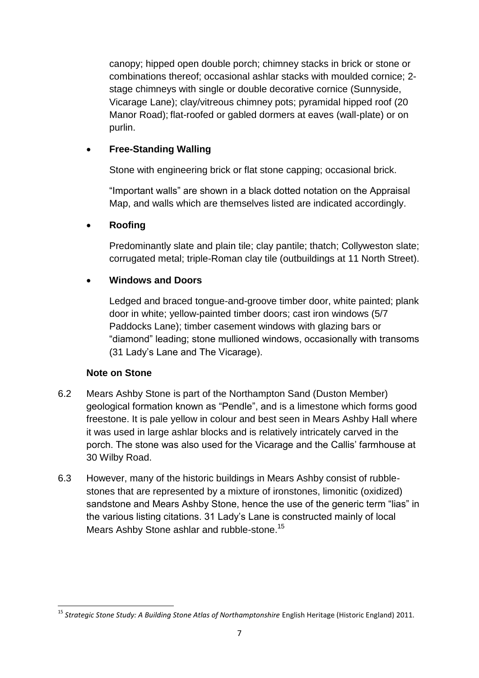canopy; hipped open double porch; chimney stacks in brick or stone or combinations thereof; occasional ashlar stacks with moulded cornice; 2 stage chimneys with single or double decorative cornice (Sunnyside, Vicarage Lane); clay/vitreous chimney pots; pyramidal hipped roof (20 Manor Road); flat-roofed or gabled dormers at eaves (wall-plate) or on purlin.

#### **Free-Standing Walling**

Stone with engineering brick or flat stone capping; occasional brick.

"Important walls" are shown in a black dotted notation on the Appraisal Map, and walls which are themselves listed are indicated accordingly.

#### **Roofing**

Predominantly slate and plain tile; clay pantile; thatch; Collyweston slate; corrugated metal; triple-Roman clay tile (outbuildings at 11 North Street).

#### **Windows and Doors**

Ledged and braced tongue-and-groove timber door, white painted; plank door in white; yellow-painted timber doors; cast iron windows (5/7 Paddocks Lane); timber casement windows with glazing bars or "diamond" leading; stone mullioned windows, occasionally with transoms (31 Lady's Lane and The Vicarage).

#### **Note on Stone**

- 6.2 Mears Ashby Stone is part of the Northampton Sand (Duston Member) geological formation known as "Pendle", and is a limestone which forms good freestone. It is pale yellow in colour and best seen in Mears Ashby Hall where it was used in large ashlar blocks and is relatively intricately carved in the porch. The stone was also used for the Vicarage and the Callis' farmhouse at 30 Wilby Road.
- 6.3 However, many of the historic buildings in Mears Ashby consist of rubblestones that are represented by a mixture of ironstones, limonitic (oxidized) sandstone and Mears Ashby Stone, hence the use of the generic term "lias" in the various listing citations. 31 Lady's Lane is constructed mainly of local Mears Ashby Stone ashlar and rubble-stone.<sup>15</sup>

**<sup>.</sup>** <sup>15</sup> Strategic Stone Study: A Building Stone Atlas of Northamptonshire English Heritage (Historic England) 2011.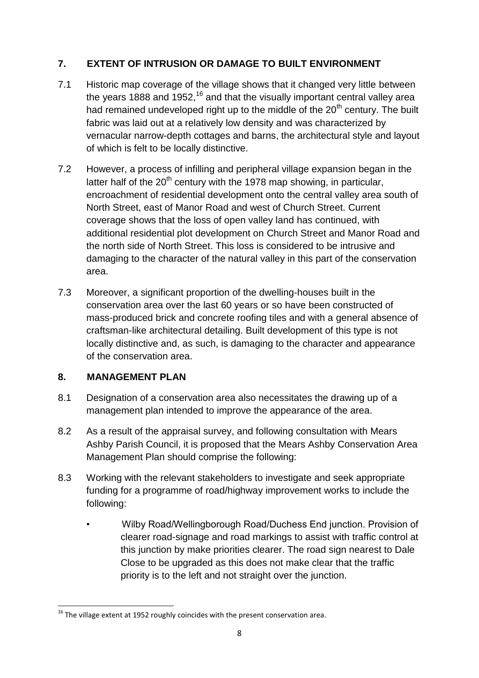## **7. EXTENT OF INTRUSION OR DAMAGE TO BUILT ENVIRONMENT**

- 7.1 Historic map coverage of the village shows that it changed very little between the years 1888 and 1952,<sup>16</sup> and that the visually important central valley area had remained undeveloped right up to the middle of the  $20<sup>th</sup>$  century. The built fabric was laid out at a relatively low density and was characterized by vernacular narrow-depth cottages and barns, the architectural style and layout of which is felt to be locally distinctive.
- 7.2 However, a process of infilling and peripheral village expansion began in the latter half of the  $20<sup>th</sup>$  century with the 1978 map showing, in particular, encroachment of residential development onto the central valley area south of North Street, east of Manor Road and west of Church Street. Current coverage shows that the loss of open valley land has continued, with additional residential plot development on Church Street and Manor Road and the north side of North Street. This loss is considered to be intrusive and damaging to the character of the natural valley in this part of the conservation area.
- 7.3 Moreover, a significant proportion of the dwelling-houses built in the conservation area over the last 60 years or so have been constructed of mass-produced brick and concrete roofing tiles and with a general absence of craftsman-like architectural detailing. Built development of this type is not locally distinctive and, as such, is damaging to the character and appearance of the conservation area.

## **8. MANAGEMENT PLAN**

- 8.1 Designation of a conservation area also necessitates the drawing up of a management plan intended to improve the appearance of the area.
- 8.2 As a result of the appraisal survey, and following consultation with Mears Ashby Parish Council, it is proposed that the Mears Ashby Conservation Area Management Plan should comprise the following:
- 8.3 Working with the relevant stakeholders to investigate and seek appropriate funding for a programme of road/highway improvement works to include the following:
	- Wilby Road/Wellingborough Road/Duchess End junction. Provision of clearer road-signage and road markings to assist with traffic control at this junction by make priorities clearer. The road sign nearest to Dale Close to be upgraded as this does not make clear that the traffic priority is to the left and not straight over the junction.

**<sup>.</sup>**  $^{16}$  The village extent at 1952 roughly coincides with the present conservation area.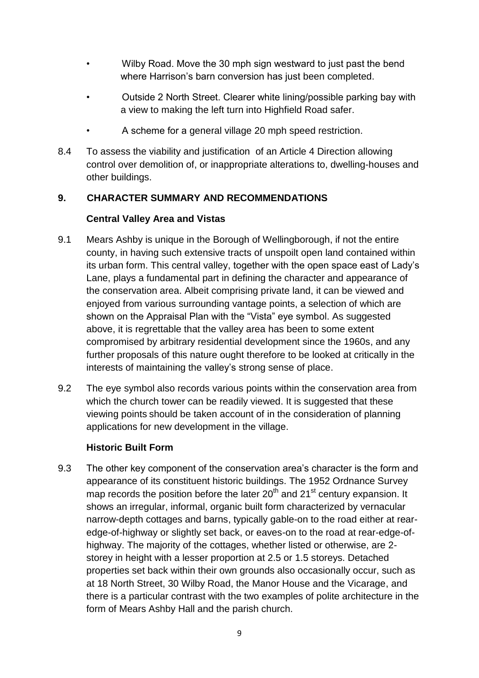- Wilby Road. Move the 30 mph sign westward to just past the bend where Harrison's barn conversion has just been completed.
- Outside 2 North Street. Clearer white lining/possible parking bay with a view to making the left turn into Highfield Road safer.
- A scheme for a general village 20 mph speed restriction.
- 8.4 To assess the viability and justification of an Article 4 Direction allowing control over demolition of, or inappropriate alterations to, dwelling-houses and other buildings.

#### **9. CHARACTER SUMMARY AND RECOMMENDATIONS**

#### **Central Valley Area and Vistas**

- 9.1 Mears Ashby is unique in the Borough of Wellingborough, if not the entire county, in having such extensive tracts of unspoilt open land contained within its urban form. This central valley, together with the open space east of Lady's Lane, plays a fundamental part in defining the character and appearance of the conservation area. Albeit comprising private land, it can be viewed and enjoyed from various surrounding vantage points, a selection of which are shown on the Appraisal Plan with the "Vista" eye symbol. As suggested above, it is regrettable that the valley area has been to some extent compromised by arbitrary residential development since the 1960s, and any further proposals of this nature ought therefore to be looked at critically in the interests of maintaining the valley's strong sense of place.
- 9.2 The eye symbol also records various points within the conservation area from which the church tower can be readily viewed. It is suggested that these viewing points should be taken account of in the consideration of planning applications for new development in the village.

#### **Historic Built Form**

9.3 The other key component of the conservation area's character is the form and appearance of its constituent historic buildings. The 1952 Ordnance Survey map records the position before the later  $20<sup>th</sup>$  and  $21<sup>st</sup>$  century expansion. It shows an irregular, informal, organic built form characterized by vernacular narrow-depth cottages and barns, typically gable-on to the road either at rearedge-of-highway or slightly set back, or eaves-on to the road at rear-edge-ofhighway. The majority of the cottages, whether listed or otherwise, are 2 storey in height with a lesser proportion at 2.5 or 1.5 storeys. Detached properties set back within their own grounds also occasionally occur, such as at 18 North Street, 30 Wilby Road, the Manor House and the Vicarage, and there is a particular contrast with the two examples of polite architecture in the form of Mears Ashby Hall and the parish church.